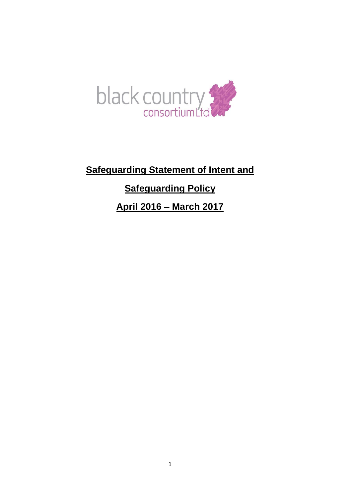

**Safeguarding Statement of Intent and Safeguarding Policy April 2016 – March 2017**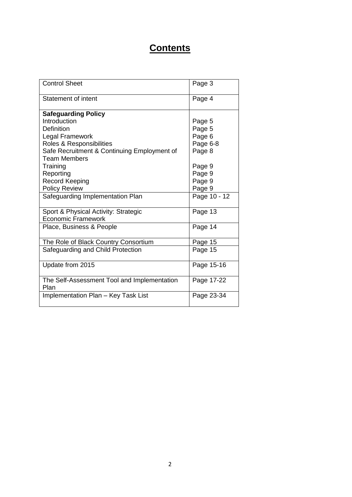## **Contents**

| <b>Control Sheet</b>                                | Page 3       |
|-----------------------------------------------------|--------------|
| <b>Statement of intent</b>                          | Page 4       |
| <b>Safeguarding Policy</b>                          |              |
| Introduction                                        | Page 5       |
| Definition                                          | Page 5       |
| <b>Legal Framework</b>                              | Page 6       |
| Roles & Responsibilities                            | Page 6-8     |
| Safe Recruitment & Continuing Employment of         | Page 8       |
| <b>Team Members</b>                                 |              |
| Training                                            | Page 9       |
| Reporting                                           | Page 9       |
| <b>Record Keeping</b>                               | Page 9       |
| <b>Policy Review</b>                                | Page 9       |
| Safeguarding Implementation Plan                    | Page 10 - 12 |
| Sport & Physical Activity: Strategic                | Page 13      |
| Economic Framework                                  |              |
| Place, Business & People                            | Page 14      |
| The Role of Black Country Consortium                | Page 15      |
| Safeguarding and Child Protection                   | Page 15      |
| Update from 2015                                    | Page 15-16   |
| The Self-Assessment Tool and Implementation<br>Plan | Page 17-22   |
| Implementation Plan - Key Task List                 | Page 23-34   |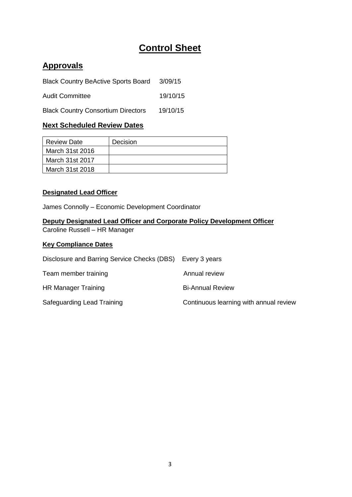# **Control Sheet**

## **Approvals**

| <b>Black Country BeActive Sports Board</b> | 3/09/15  |
|--------------------------------------------|----------|
| <b>Audit Committee</b>                     | 19/10/15 |
| <b>Black Country Consortium Directors</b>  | 19/10/15 |

## **Next Scheduled Review Dates**

| Review Date     | <b>Decision</b> |
|-----------------|-----------------|
| March 31st 2016 |                 |
| March 31st 2017 |                 |
| March 31st 2018 |                 |

## **Designated Lead Officer**

James Connolly – Economic Development Coordinator

## **Deputy Designated Lead Officer and Corporate Policy Development Officer** Caroline Russell – HR Manager

## **Key Compliance Dates**

| Disclosure and Barring Service Checks (DBS) Every 3 years |                                        |
|-----------------------------------------------------------|----------------------------------------|
| Team member training                                      | Annual review                          |
| HR Manager Training                                       | <b>Bi-Annual Review</b>                |
| Safeguarding Lead Training                                | Continuous learning with annual review |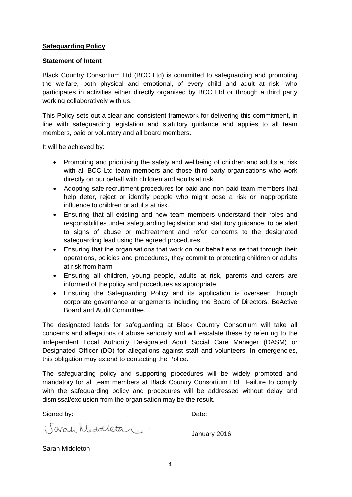#### **Safeguarding Policy**

#### **Statement of Intent**

Black Country Consortium Ltd (BCC Ltd) is committed to safeguarding and promoting the welfare, both physical and emotional, of every child and adult at risk, who participates in activities either directly organised by BCC Ltd or through a third party working collaboratively with us.

This Policy sets out a clear and consistent framework for delivering this commitment, in line with safeguarding legislation and statutory guidance and applies to all team members, paid or voluntary and all board members.

It will be achieved by:

- Promoting and prioritising the safety and wellbeing of children and adults at risk with all BCC Ltd team members and those third party organisations who work directly on our behalf with children and adults at risk.
- Adopting safe recruitment procedures for paid and non-paid team members that help deter, reject or identify people who might pose a risk or inappropriate influence to children or adults at risk.
- Ensuring that all existing and new team members understand their roles and responsibilities under safeguarding legislation and statutory guidance, to be alert to signs of abuse or maltreatment and refer concerns to the designated safeguarding lead using the agreed procedures.
- Ensuring that the organisations that work on our behalf ensure that through their operations, policies and procedures, they commit to protecting children or adults at risk from harm
- Ensuring all children, young people, adults at risk, parents and carers are informed of the policy and procedures as appropriate.
- Ensuring the Safeguarding Policy and its application is overseen through corporate governance arrangements including the Board of Directors, BeActive Board and Audit Committee.

The designated leads for safeguarding at Black Country Consortium will take all concerns and allegations of abuse seriously and will escalate these by referring to the independent Local Authority Designated Adult Social Care Manager (DASM) or Designated Officer (DO) for allegations against staff and volunteers. In emergencies, this obligation may extend to contacting the Police.

The safeguarding policy and supporting procedures will be widely promoted and mandatory for all team members at Black Country Consortium Ltd. Failure to comply with the safeguarding policy and procedures will be addressed without delay and dismissal/exclusion from the organisation may be the result.

Signed by: Date:

(Savah Middletan

January 2016

Sarah Middleton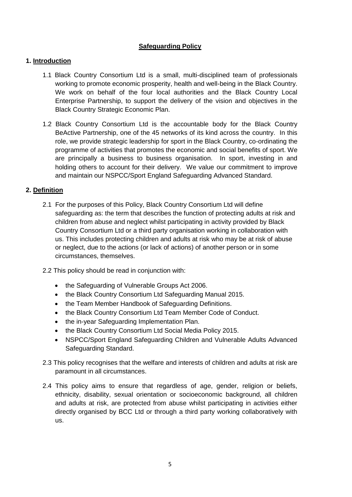## **Safeguarding Policy**

## **1. Introduction**

- 1.1 Black Country Consortium Ltd is a small, multi-disciplined team of professionals working to promote economic prosperity, health and well-being in the Black Country. We work on behalf of the four local authorities and the Black Country Local Enterprise Partnership, to support the delivery of the vision and objectives in the Black Country Strategic Economic Plan.
- 1.2 Black Country Consortium Ltd is the accountable body for the Black Country BeActive Partnership, one of the 45 networks of its kind across the country. In this role, we provide strategic leadership for sport in the Black Country, co-ordinating the programme of activities that promotes the economic and social benefits of sport. We are principally a business to business organisation. In sport, investing in and holding others to account for their delivery. We value our commitment to improve and maintain our NSPCC/Sport England Safeguarding Advanced Standard.

### **2. Definition**

- 2.1 For the purposes of this Policy, Black Country Consortium Ltd will define safeguarding as: the term that describes the function of protecting adults at risk and children from abuse and neglect whilst participating in activity provided by Black Country Consortium Ltd or a third party organisation working in collaboration with us. This includes protecting children and adults at risk who may be at risk of abuse or neglect, due to the actions (or lack of actions) of another person or in some circumstances, themselves.
- 2.2 This policy should be read in conjunction with:
	- the Safeguarding of Vulnerable Groups Act 2006.
	- the Black Country Consortium Ltd Safeguarding Manual 2015.
	- the Team Member Handbook of Safeguarding Definitions.
	- the Black Country Consortium Ltd Team Member Code of Conduct.
	- the in-year Safeguarding Implementation Plan.
	- the Black Country Consortium Ltd Social Media Policy 2015.
	- NSPCC/Sport England Safeguarding Children and Vulnerable Adults Advanced Safeguarding Standard.
- 2.3 This policy recognises that the welfare and interests of children and adults at risk are paramount in all circumstances.
- 2.4 This policy aims to ensure that regardless of age, gender, religion or beliefs, ethnicity, disability, sexual orientation or socioeconomic background, all children and adults at risk, are protected from abuse whilst participating in activities either directly organised by BCC Ltd or through a third party working collaboratively with us.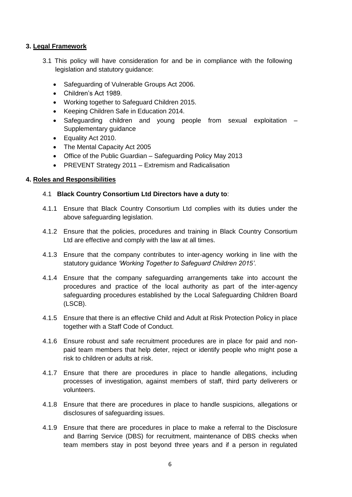#### **3. Legal Framework**

- 3.1 This policy will have consideration for and be in compliance with the following legislation and statutory guidance:
	- Safeguarding of Vulnerable Groups Act 2006.
	- Children's Act 1989.
	- Working together to Safeguard Children 2015.
	- Keeping Children Safe in Education 2014.
	- Safeguarding children and young people from sexual exploitation Supplementary guidance
	- Equality Act 2010.
	- The Mental Capacity Act 2005
	- Office of the Public Guardian Safeguarding Policy May 2013
	- PREVENT Strategy 2011 Extremism and Radicalisation

### **4. Roles and Responsibilities**

#### 4.1 **Black Country Consortium Ltd Directors have a duty to**:

- 4.1.1 Ensure that Black Country Consortium Ltd complies with its duties under the above safeguarding legislation.
- 4.1.2 Ensure that the policies, procedures and training in Black Country Consortium Ltd are effective and comply with the law at all times.
- 4.1.3 Ensure that the company contributes to inter-agency working in line with the statutory guidance *'Working Together to Safeguard Children 2015'*.
- 4.1.4 Ensure that the company safeguarding arrangements take into account the procedures and practice of the local authority as part of the inter-agency safeguarding procedures established by the Local Safeguarding Children Board (LSCB).
- 4.1.5 Ensure that there is an effective Child and Adult at Risk Protection Policy in place together with a Staff Code of Conduct.
- 4.1.6 Ensure robust and safe recruitment procedures are in place for paid and nonpaid team members that help deter, reject or identify people who might pose a risk to children or adults at risk.
- 4.1.7 Ensure that there are procedures in place to handle allegations, including processes of investigation, against members of staff, third party deliverers or volunteers.
- 4.1.8 Ensure that there are procedures in place to handle suspicions, allegations or disclosures of safeguarding issues.
- 4.1.9 Ensure that there are procedures in place to make a referral to the Disclosure and Barring Service (DBS) for recruitment, maintenance of DBS checks when team members stay in post beyond three years and if a person in regulated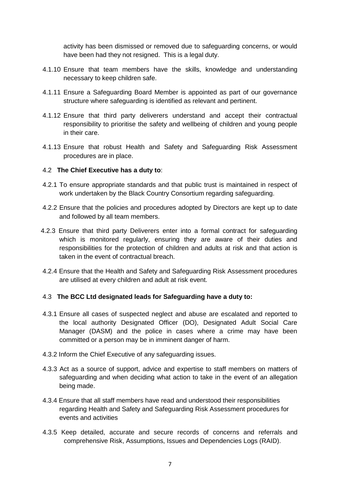activity has been dismissed or removed due to safeguarding concerns, or would have been had they not resigned. This is a legal duty.

- 4.1.10 Ensure that team members have the skills, knowledge and understanding necessary to keep children safe.
- 4.1.11 Ensure a Safeguarding Board Member is appointed as part of our governance structure where safeguarding is identified as relevant and pertinent.
- 4.1.12 Ensure that third party deliverers understand and accept their contractual responsibility to prioritise the safety and wellbeing of children and young people in their care.
- 4.1.13 Ensure that robust Health and Safety and Safeguarding Risk Assessment procedures are in place.

#### 4.2 **The Chief Executive has a duty to**:

- 4.2.1 To ensure appropriate standards and that public trust is maintained in respect of work undertaken by the Black Country Consortium regarding safeguarding.
- 4.2.2 Ensure that the policies and procedures adopted by Directors are kept up to date and followed by all team members.
- 4.2.3 Ensure that third party Deliverers enter into a formal contract for safeguarding which is monitored regularly, ensuring they are aware of their duties and responsibilities for the protection of children and adults at risk and that action is taken in the event of contractual breach.
- 4.2.4 Ensure that the Health and Safety and Safeguarding Risk Assessment procedures are utilised at every children and adult at risk event.

#### 4.3 **The BCC Ltd designated leads for Safeguarding have a duty to:**

- 4.3.1 Ensure all cases of suspected neglect and abuse are escalated and reported to the local authority Designated Officer (DO), Designated Adult Social Care Manager (DASM) and the police in cases where a crime may have been committed or a person may be in imminent danger of harm.
- 4.3.2 Inform the Chief Executive of any safeguarding issues.
- 4.3.3 Act as a source of support, advice and expertise to staff members on matters of safeguarding and when deciding what action to take in the event of an allegation being made.
- 4.3.4 Ensure that all staff members have read and understood their responsibilities regarding Health and Safety and Safeguarding Risk Assessment procedures for events and activities
- 4.3.5 Keep detailed, accurate and secure records of concerns and referrals and comprehensive Risk, Assumptions, Issues and Dependencies Logs (RAID).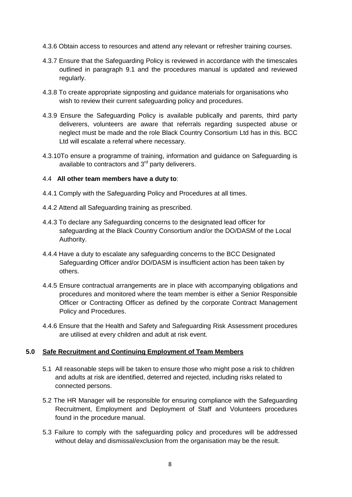- 4.3.6 Obtain access to resources and attend any relevant or refresher training courses.
- 4.3.7 Ensure that the Safeguarding Policy is reviewed in accordance with the timescales outlined in paragraph 9.1 and the procedures manual is updated and reviewed regularly.
- 4.3.8 To create appropriate signposting and guidance materials for organisations who wish to review their current safeguarding policy and procedures.
- 4.3.9 Ensure the Safeguarding Policy is available publically and parents, third party deliverers, volunteers are aware that referrals regarding suspected abuse or neglect must be made and the role Black Country Consortium Ltd has in this. BCC Ltd will escalate a referral where necessary.
- 4.3.10To ensure a programme of training, information and guidance on Safeguarding is available to contractors and  $3<sup>rd</sup>$  party deliverers.

#### 4.4 **All other team members have a duty to**:

- 4.4.1 Comply with the Safeguarding Policy and Procedures at all times.
- 4.4.2 Attend all Safeguarding training as prescribed.
- 4.4.3 To declare any Safeguarding concerns to the designated lead officer for safeguarding at the Black Country Consortium and/or the DO/DASM of the Local Authority.
- 4.4.4 Have a duty to escalate any safeguarding concerns to the BCC Designated Safeguarding Officer and/or DO/DASM is insufficient action has been taken by others.
- 4.4.5 Ensure contractual arrangements are in place with accompanying obligations and procedures and monitored where the team member is either a Senior Responsible Officer or Contracting Officer as defined by the corporate Contract Management Policy and Procedures.
- 4.4.6 Ensure that the Health and Safety and Safeguarding Risk Assessment procedures are utilised at every children and adult at risk event.

#### **5.0 Safe Recruitment and Continuing Employment of Team Members**

- 5.1 All reasonable steps will be taken to ensure those who might pose a risk to children and adults at risk are identified, deterred and rejected, including risks related to connected persons.
- 5.2 The HR Manager will be responsible for ensuring compliance with the Safeguarding Recruitment, Employment and Deployment of Staff and Volunteers procedures found in the procedure manual.
- 5.3 Failure to comply with the safeguarding policy and procedures will be addressed without delay and dismissal/exclusion from the organisation may be the result.